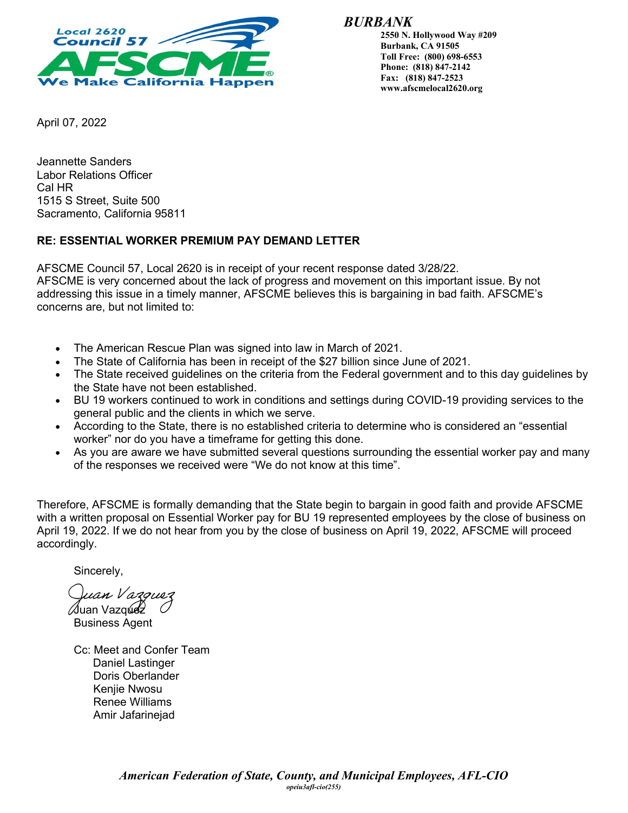

*BURBANK*

**2550 N. Hollywood Way #209 Burbank, CA 91505 Toll Free: (800) 698-6553 Phone: (818) 847-2142 Fax: (818) 847-2523 www.afscmelocal2620.org**

April 07, 2022

Jeannette Sanders Labor Relations Officer Cal HR 1515 S Street, Suite 500 Sacramento, California 95811

## **RE: ESSENTIAL WORKER PREMIUM PAY DEMAND LETTER**

AFSCME Council 57, Local 2620 is in receipt of your recent response dated 3/28/22. AFSCME is very concerned about the lack of progress and movement on this important issue. By not addressing this issue in a timely manner, AFSCME believes this is bargaining in bad faith. AFSCME's concerns are, but not limited to:

- The American Rescue Plan was signed into law in March of 2021.
- The State of California has been in receipt of the \$27 billion since June of 2021.
- The State received guidelines on the criteria from the Federal government and to this day guidelines by the State have not been established.
- BU 19 workers continued to work in conditions and settings during COVID-19 providing services to the general public and the clients in which we serve.
- According to the State, there is no established criteria to determine who is considered an "essential worker" nor do you have a timeframe for getting this done.
- As you are aware we have submitted several questions surrounding the essential worker pay and many of the responses we received were "We do not know at this time".

Therefore, AFSCME is formally demanding that the State begin to bargain in good faith and provide AFSCME with a written proposal on Essential Worker pay for BU 19 represented employees by the close of business on April 19, 2022. If we do not hear from you by the close of business on April 19, 2022, AFSCME will proceed accordingly.

Sincerely,

uan Vazquez */*Juan Vazq**ue่**2

Business Agent

Cc: Meet and Confer Team Daniel Lastinger Doris Oberlander Kenjie Nwosu Renee Williams Amir Jafarinejad